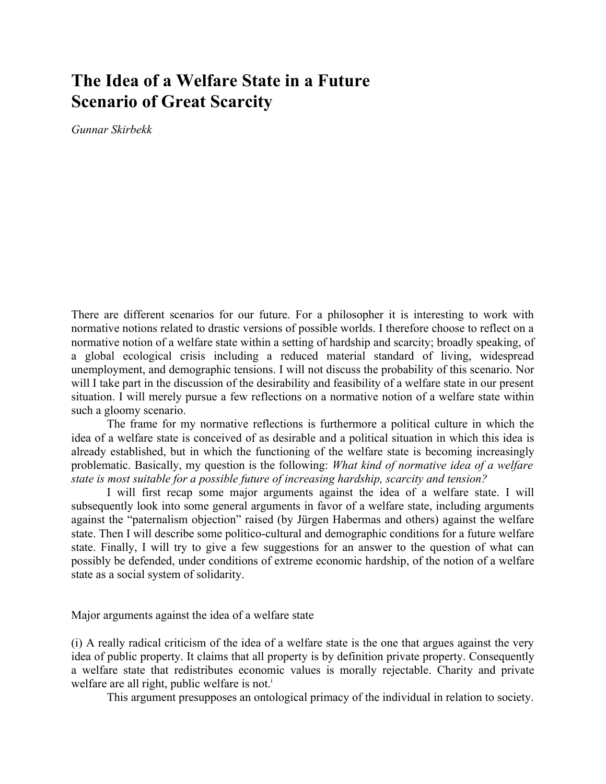# **The Idea of a Welfare State in a Future Scenario of Great Scarcity**

*Gunnar Skirbekk*

There are different scenarios for our future. For a philosopher it is interesting to work with normative notions related to drastic versions of possible worlds. I therefore choose to reflect on a normative notion of a welfare state within a setting of hardship and scarcity; broadly speaking, of a global ecological crisis including a reduced material standard of living, widespread unemployment, and demographic tensions. I will not discuss the probability of this scenario. Nor will I take part in the discussion of the desirability and feasibility of a welfare state in our present situation. I will merely pursue a few reflections on a normative notion of a welfare state within such a gloomy scenario.

The frame for my normative reflections is furthermore a political culture in which the idea of a welfare state is conceived of as desirable and a political situation in which this idea is already established, but in which the functioning of the welfare state is becoming increasingly problematic. Basically, my question is the following: *What kind of normative idea of a welfare state is most suitable for a possible future of increasing hardship, scarcity and tension?*

I will first recap some major arguments against the idea of a welfare state. I will subsequently look into some general arguments in favor of a welfare state, including arguments against the "paternalism objection" raised (by Jürgen Habermas and others) against the welfare state. Then I will describe some politico-cultural and demographic conditions for a future welfare state. Finally, I will try to give a few suggestions for an answer to the question of what can possibly be defended, under conditions of extreme economic hardship, of the notion of a welfare state as a social system of solidarity.

Major arguments against the idea of a welfare state

(i) A really radical criticism of the idea of a welfare state is the one that argues against the very idea of public property. It claims that all property is by definition private property. Consequently a welfare state that redistributes economic values is morally rejectable. Charity and private welfare are all r[i](#page-15-0)ght, public welfare is not.<sup>i</sup>

This argument presupposes an ontological primacy of the individual in relation to society.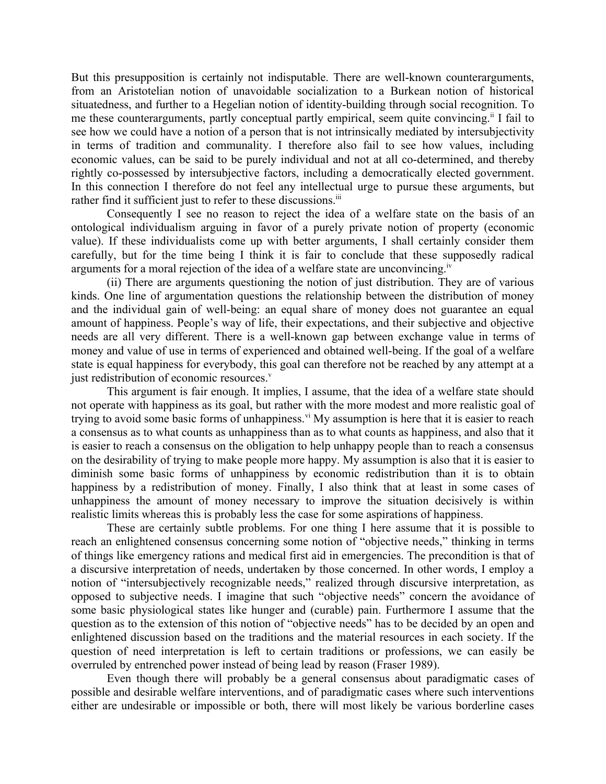But this presupposition is certainly not indisputable. There are well-known counterarguments, from an Aristotelian notion of unavoidable socialization to a Burkean notion of historical situatedness, and further to a Hegelian notion of identity-building through social recognition. To me these counterarguments, partly conceptual partly empirical, seem quite convincing.<sup>[ii](#page-15-1)</sup> I fail to see how we could have a notion of a person that is not intrinsically mediated by intersubjectivity in terms of tradition and communality. I therefore also fail to see how values, including economic values, can be said to be purely individual and not at all co-determined, and thereby rightly co-possessed by intersubjective factors, including a democratically elected government. In this connection I therefore do not feel any intellectual urge to pursue these arguments, but rather find it sufficient just to refer to these discussions.<sup>[iii](#page-15-2)</sup>

Consequently I see no reason to reject the idea of a welfare state on the basis of an ontological individualism arguing in favor of a purely private notion of property (economic value). If these individualists come up with better arguments, I shall certainly consider them carefully, but for the time being I think it is fair to conclude that these supposedly radical arguments for a moral rejection of the idea of a welfare state are unconvincing.[iv](#page-15-3)

(ii) There are arguments questioning the notion of just distribution. They are of various kinds. One line of argumentation questions the relationship between the distribution of money and the individual gain of well-being: an equal share of money does not guarantee an equal amount of happiness. People's way of life, their expectations, and their subjective and objective needs are all very different. There is a well-known gap between exchange value in terms of money and value of use in terms of experienced and obtained well-being. If the goal of a welfare state is equal happiness for everybody, this goal can therefore not be reached by any attempt at a just redistribution of economic resources.<sup>[v](#page-15-4)</sup>

This argument is fair enough. It implies, I assume, that the idea of a welfare state should not operate with happiness as its goal, but rather with the more modest and more realistic goal of trying to avoid some basic forms of unhappiness.<sup>[vi](#page-16-0)</sup> My assumption is here that it is easier to reach a consensus as to what counts as unhappiness than as to what counts as happiness, and also that it is easier to reach a consensus on the obligation to help unhappy people than to reach a consensus on the desirability of trying to make people more happy. My assumption is also that it is easier to diminish some basic forms of unhappiness by economic redistribution than it is to obtain happiness by a redistribution of money. Finally, I also think that at least in some cases of unhappiness the amount of money necessary to improve the situation decisively is within realistic limits whereas this is probably less the case for some aspirations of happiness.

These are certainly subtle problems. For one thing I here assume that it is possible to reach an enlightened consensus concerning some notion of "objective needs," thinking in terms of things like emergency rations and medical first aid in emergencies. The precondition is that of a discursive interpretation of needs, undertaken by those concerned. In other words, I employ a notion of "intersubjectively recognizable needs," realized through discursive interpretation, as opposed to subjective needs. I imagine that such "objective needs" concern the avoidance of some basic physiological states like hunger and (curable) pain. Furthermore I assume that the question as to the extension of this notion of "objective needs" has to be decided by an open and enlightened discussion based on the traditions and the material resources in each society. If the question of need interpretation is left to certain traditions or professions, we can easily be overruled by entrenched power instead of being lead by reason (Fraser 1989).

Even though there will probably be a general consensus about paradigmatic cases of possible and desirable welfare interventions, and of paradigmatic cases where such interventions either are undesirable or impossible or both, there will most likely be various borderline cases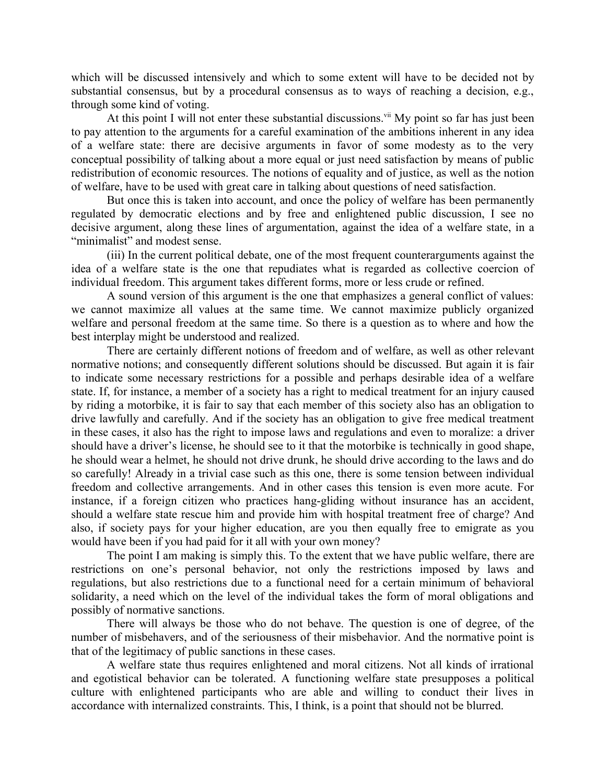which will be discussed intensively and which to some extent will have to be decided not by substantial consensus, but by a procedural consensus as to ways of reaching a decision, e.g., through some kind of voting.

At this point I will not enter these substantial discussions.<sup>[vii](#page-16-1)</sup> My point so far has just been to pay attention to the arguments for a careful examination of the ambitions inherent in any idea of a welfare state: there are decisive arguments in favor of some modesty as to the very conceptual possibility of talking about a more equal or just need satisfaction by means of public redistribution of economic resources. The notions of equality and of justice, as well as the notion of welfare, have to be used with great care in talking about questions of need satisfaction.

But once this is taken into account, and once the policy of welfare has been permanently regulated by democratic elections and by free and enlightened public discussion, I see no decisive argument, along these lines of argumentation, against the idea of a welfare state, in a "minimalist" and modest sense.

(iii) In the current political debate, one of the most frequent counterarguments against the idea of a welfare state is the one that repudiates what is regarded as collective coercion of individual freedom. This argument takes different forms, more or less crude or refined.

A sound version of this argument is the one that emphasizes a general conflict of values: we cannot maximize all values at the same time. We cannot maximize publicly organized welfare and personal freedom at the same time. So there is a question as to where and how the best interplay might be understood and realized.

There are certainly different notions of freedom and of welfare, as well as other relevant normative notions; and consequently different solutions should be discussed. But again it is fair to indicate some necessary restrictions for a possible and perhaps desirable idea of a welfare state. If, for instance, a member of a society has a right to medical treatment for an injury caused by riding a motorbike, it is fair to say that each member of this society also has an obligation to drive lawfully and carefully. And if the society has an obligation to give free medical treatment in these cases, it also has the right to impose laws and regulations and even to moralize: a driver should have a driver's license, he should see to it that the motorbike is technically in good shape, he should wear a helmet, he should not drive drunk, he should drive according to the laws and do so carefully! Already in a trivial case such as this one, there is some tension between individual freedom and collective arrangements. And in other cases this tension is even more acute. For instance, if a foreign citizen who practices hang-gliding without insurance has an accident, should a welfare state rescue him and provide him with hospital treatment free of charge? And also, if society pays for your higher education, are you then equally free to emigrate as you would have been if you had paid for it all with your own money?

The point I am making is simply this. To the extent that we have public welfare, there are restrictions on one's personal behavior, not only the restrictions imposed by laws and regulations, but also restrictions due to a functional need for a certain minimum of behavioral solidarity, a need which on the level of the individual takes the form of moral obligations and possibly of normative sanctions.

There will always be those who do not behave. The question is one of degree, of the number of misbehavers, and of the seriousness of their misbehavior. And the normative point is that of the legitimacy of public sanctions in these cases.

A welfare state thus requires enlightened and moral citizens. Not all kinds of irrational and egotistical behavior can be tolerated. A functioning welfare state presupposes a political culture with enlightened participants who are able and willing to conduct their lives in accordance with internalized constraints. This, I think, is a point that should not be blurred.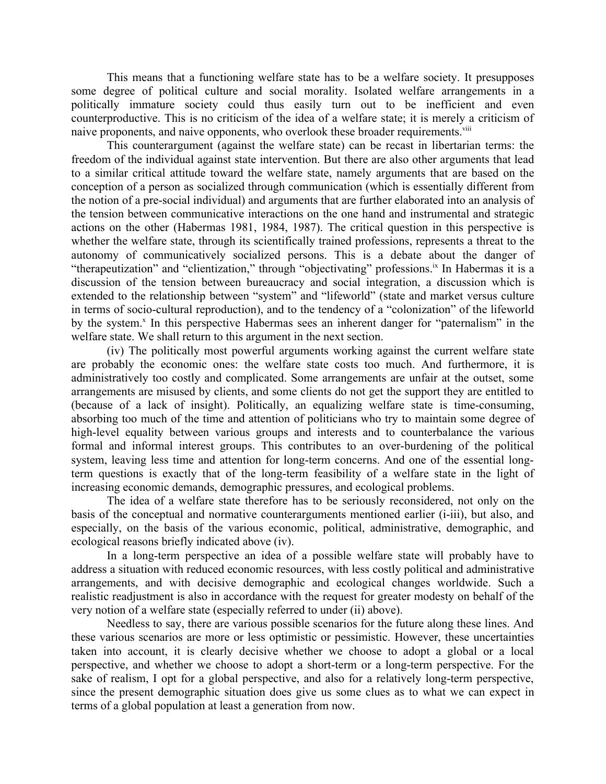This means that a functioning welfare state has to be a welfare society. It presupposes some degree of political culture and social morality. Isolated welfare arrangements in a politically immature society could thus easily turn out to be inefficient and even counterproductive. This is no criticism of the idea of a welfare state; it is merely a criticism of naive proponents, and naive opponents, who overlook these broader requirements.<sup>[viii](#page-16-2)</sup>

This counterargument (against the welfare state) can be recast in libertarian terms: the freedom of the individual against state intervention. But there are also other arguments that lead to a similar critical attitude toward the welfare state, namely arguments that are based on the conception of a person as socialized through communication (which is essentially different from the notion of a pre-social individual) and arguments that are further elaborated into an analysis of the tension between communicative interactions on the one hand and instrumental and strategic actions on the other (Habermas 1981, 1984, 1987). The critical question in this perspective is whether the welfare state, through its scientifically trained professions, represents a threat to the autonomy of communicatively socialized persons. This is a debate about the danger of "therapeutization" and "clientization," through "objectivating" professions.<sup>[ix](#page-16-3)</sup> In Habermas it is a discussion of the tension between bureaucracy and social integration, a discussion which is extended to the relationship between "system" and "lifeworld" (state and market versus culture in terms of socio-cultural reproduction), and to the tendency of a "colonization" of the lifeworld by the system.<sup>[x](#page-16-4)</sup> In this perspective Habermas sees an inherent danger for "paternalism" in the welfare state. We shall return to this argument in the next section.

(iv) The politically most powerful arguments working against the current welfare state are probably the economic ones: the welfare state costs too much. And furthermore, it is administratively too costly and complicated. Some arrangements are unfair at the outset, some arrangements are misused by clients, and some clients do not get the support they are entitled to (because of a lack of insight). Politically, an equalizing welfare state is time-consuming, absorbing too much of the time and attention of politicians who try to maintain some degree of high-level equality between various groups and interests and to counterbalance the various formal and informal interest groups. This contributes to an over-burdening of the political system, leaving less time and attention for long-term concerns. And one of the essential longterm questions is exactly that of the long-term feasibility of a welfare state in the light of increasing economic demands, demographic pressures, and ecological problems.

The idea of a welfare state therefore has to be seriously reconsidered, not only on the basis of the conceptual and normative counterarguments mentioned earlier (i-iii), but also, and especially, on the basis of the various economic, political, administrative, demographic, and ecological reasons briefly indicated above (iv).

In a long-term perspective an idea of a possible welfare state will probably have to address a situation with reduced economic resources, with less costly political and administrative arrangements, and with decisive demographic and ecological changes worldwide. Such a realistic readjustment is also in accordance with the request for greater modesty on behalf of the very notion of a welfare state (especially referred to under (ii) above).

Needless to say, there are various possible scenarios for the future along these lines. And these various scenarios are more or less optimistic or pessimistic. However, these uncertainties taken into account, it is clearly decisive whether we choose to adopt a global or a local perspective, and whether we choose to adopt a short-term or a long-term perspective. For the sake of realism, I opt for a global perspective, and also for a relatively long-term perspective, since the present demographic situation does give us some clues as to what we can expect in terms of a global population at least a generation from now.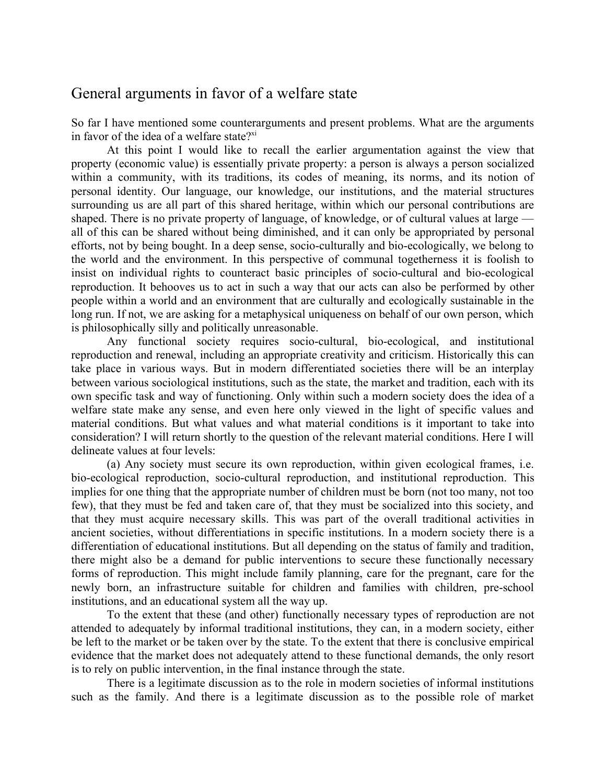### General arguments in favor of a welfare state

So far I have mentioned some counterarguments and present problems. What are the arguments in favor of the idea of a welfare state?[xi](#page-17-0)

At this point I would like to recall the earlier argumentation against the view that property (economic value) is essentially private property: a person is always a person socialized within a community, with its traditions, its codes of meaning, its norms, and its notion of personal identity. Our language, our knowledge, our institutions, and the material structures surrounding us are all part of this shared heritage, within which our personal contributions are shaped. There is no private property of language, of knowledge, or of cultural values at large all of this can be shared without being diminished, and it can only be appropriated by personal efforts, not by being bought. In a deep sense, socio-culturally and bio-ecologically, we belong to the world and the environment. In this perspective of communal togetherness it is foolish to insist on individual rights to counteract basic principles of socio-cultural and bio-ecological reproduction. It behooves us to act in such a way that our acts can also be performed by other people within a world and an environment that are culturally and ecologically sustainable in the long run. If not, we are asking for a metaphysical uniqueness on behalf of our own person, which is philosophically silly and politically unreasonable.

Any functional society requires socio-cultural, bio-ecological, and institutional reproduction and renewal, including an appropriate creativity and criticism. Historically this can take place in various ways. But in modern differentiated societies there will be an interplay between various sociological institutions, such as the state, the market and tradition, each with its own specific task and way of functioning. Only within such a modern society does the idea of a welfare state make any sense, and even here only viewed in the light of specific values and material conditions. But what values and what material conditions is it important to take into consideration? I will return shortly to the question of the relevant material conditions. Here I will delineate values at four levels:

(a) Any society must secure its own reproduction, within given ecological frames, i.e. bio-ecological reproduction, socio-cultural reproduction, and institutional reproduction. This implies for one thing that the appropriate number of children must be born (not too many, not too few), that they must be fed and taken care of, that they must be socialized into this society, and that they must acquire necessary skills. This was part of the overall traditional activities in ancient societies, without differentiations in specific institutions. In a modern society there is a differentiation of educational institutions. But all depending on the status of family and tradition, there might also be a demand for public interventions to secure these functionally necessary forms of reproduction. This might include family planning, care for the pregnant, care for the newly born, an infrastructure suitable for children and families with children, pre-school institutions, and an educational system all the way up.

To the extent that these (and other) functionally necessary types of reproduction are not attended to adequately by informal traditional institutions, they can, in a modern society, either be left to the market or be taken over by the state. To the extent that there is conclusive empirical evidence that the market does not adequately attend to these functional demands, the only resort is to rely on public intervention, in the final instance through the state.

There is a legitimate discussion as to the role in modern societies of informal institutions such as the family. And there is a legitimate discussion as to the possible role of market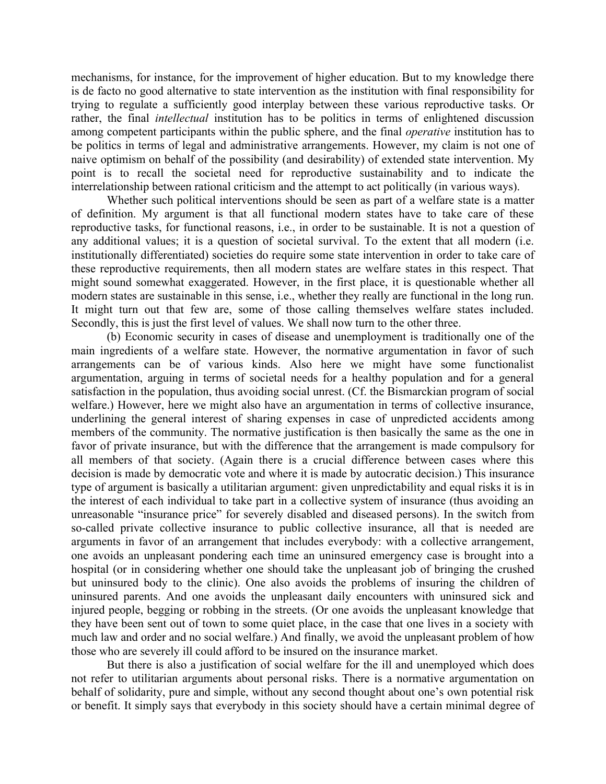mechanisms, for instance, for the improvement of higher education. But to my knowledge there is de facto no good alternative to state intervention as the institution with final responsibility for trying to regulate a sufficiently good interplay between these various reproductive tasks. Or rather, the final *intellectual* institution has to be politics in terms of enlightened discussion among competent participants within the public sphere, and the final *operative* institution has to be politics in terms of legal and administrative arrangements. However, my claim is not one of naive optimism on behalf of the possibility (and desirability) of extended state intervention. My point is to recall the societal need for reproductive sustainability and to indicate the interrelationship between rational criticism and the attempt to act politically (in various ways).

Whether such political interventions should be seen as part of a welfare state is a matter of definition. My argument is that all functional modern states have to take care of these reproductive tasks, for functional reasons, i.e., in order to be sustainable. It is not a question of any additional values; it is a question of societal survival. To the extent that all modern (i.e. institutionally differentiated) societies do require some state intervention in order to take care of these reproductive requirements, then all modern states are welfare states in this respect. That might sound somewhat exaggerated. However, in the first place, it is questionable whether all modern states are sustainable in this sense, i.e., whether they really are functional in the long run. It might turn out that few are, some of those calling themselves welfare states included. Secondly, this is just the first level of values. We shall now turn to the other three.

(b) Economic security in cases of disease and unemployment is traditionally one of the main ingredients of a welfare state. However, the normative argumentation in favor of such arrangements can be of various kinds. Also here we might have some functionalist argumentation, arguing in terms of societal needs for a healthy population and for a general satisfaction in the population, thus avoiding social unrest. (Cf. the Bismarckian program of social welfare.) However, here we might also have an argumentation in terms of collective insurance, underlining the general interest of sharing expenses in case of unpredicted accidents among members of the community. The normative justification is then basically the same as the one in favor of private insurance, but with the difference that the arrangement is made compulsory for all members of that society. (Again there is a crucial difference between cases where this decision is made by democratic vote and where it is made by autocratic decision.) This insurance type of argument is basically a utilitarian argument: given unpredictability and equal risks it is in the interest of each individual to take part in a collective system of insurance (thus avoiding an unreasonable "insurance price" for severely disabled and diseased persons). In the switch from so-called private collective insurance to public collective insurance, all that is needed are arguments in favor of an arrangement that includes everybody: with a collective arrangement, one avoids an unpleasant pondering each time an uninsured emergency case is brought into a hospital (or in considering whether one should take the unpleasant job of bringing the crushed but uninsured body to the clinic). One also avoids the problems of insuring the children of uninsured parents. And one avoids the unpleasant daily encounters with uninsured sick and injured people, begging or robbing in the streets. (Or one avoids the unpleasant knowledge that they have been sent out of town to some quiet place, in the case that one lives in a society with much law and order and no social welfare.) And finally, we avoid the unpleasant problem of how those who are severely ill could afford to be insured on the insurance market.

But there is also a justification of social welfare for the ill and unemployed which does not refer to utilitarian arguments about personal risks. There is a normative argumentation on behalf of solidarity, pure and simple, without any second thought about one's own potential risk or benefit. It simply says that everybody in this society should have a certain minimal degree of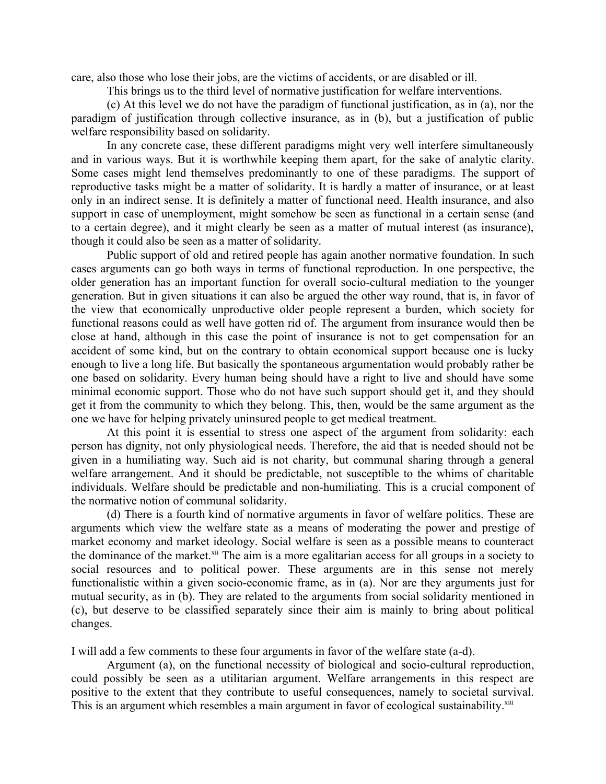care, also those who lose their jobs, are the victims of accidents, or are disabled or ill.

This brings us to the third level of normative justification for welfare interventions.

(c) At this level we do not have the paradigm of functional justification, as in (a), nor the paradigm of justification through collective insurance, as in (b), but a justification of public welfare responsibility based on solidarity.

In any concrete case, these different paradigms might very well interfere simultaneously and in various ways. But it is worthwhile keeping them apart, for the sake of analytic clarity. Some cases might lend themselves predominantly to one of these paradigms. The support of reproductive tasks might be a matter of solidarity. It is hardly a matter of insurance, or at least only in an indirect sense. It is definitely a matter of functional need. Health insurance, and also support in case of unemployment, might somehow be seen as functional in a certain sense (and to a certain degree), and it might clearly be seen as a matter of mutual interest (as insurance), though it could also be seen as a matter of solidarity.

Public support of old and retired people has again another normative foundation. In such cases arguments can go both ways in terms of functional reproduction. In one perspective, the older generation has an important function for overall socio-cultural mediation to the younger generation. But in given situations it can also be argued the other way round, that is, in favor of the view that economically unproductive older people represent a burden, which society for functional reasons could as well have gotten rid of. The argument from insurance would then be close at hand, although in this case the point of insurance is not to get compensation for an accident of some kind, but on the contrary to obtain economical support because one is lucky enough to live a long life. But basically the spontaneous argumentation would probably rather be one based on solidarity. Every human being should have a right to live and should have some minimal economic support. Those who do not have such support should get it, and they should get it from the community to which they belong. This, then, would be the same argument as the one we have for helping privately uninsured people to get medical treatment.

At this point it is essential to stress one aspect of the argument from solidarity: each person has dignity, not only physiological needs. Therefore, the aid that is needed should not be given in a humiliating way. Such aid is not charity, but communal sharing through a general welfare arrangement. And it should be predictable, not susceptible to the whims of charitable individuals. Welfare should be predictable and non-humiliating. This is a crucial component of the normative notion of communal solidarity.

(d) There is a fourth kind of normative arguments in favor of welfare politics. These are arguments which view the welfare state as a means of moderating the power and prestige of market economy and market ideology. Social welfare is seen as a possible means to counteract the dominance of the market.<sup>[xii](#page-17-1)</sup> The aim is a more egalitarian access for all groups in a society to social resources and to political power. These arguments are in this sense not merely functionalistic within a given socio-economic frame, as in (a). Nor are they arguments just for mutual security, as in (b). They are related to the arguments from social solidarity mentioned in (c), but deserve to be classified separately since their aim is mainly to bring about political changes.

I will add a few comments to these four arguments in favor of the welfare state (a-d).

Argument (a), on the functional necessity of biological and socio-cultural reproduction, could possibly be seen as a utilitarian argument. Welfare arrangements in this respect are positive to the extent that they contribute to useful consequences, namely to societal survival. This is an argument which resembles a main argument in favor of ecological sustainability.<sup>[xiii](#page-17-2)</sup>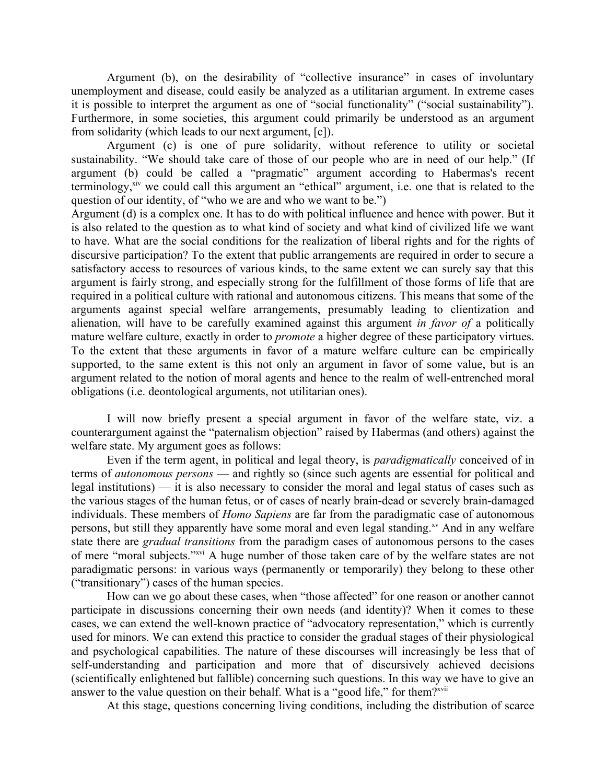Argument (b), on the desirability of "collective insurance" in cases of involuntary unemployment and disease, could easily be analyzed as a utilitarian argument. In extreme cases it is possible to interpret the argument as one of "social functionality" ("social sustainability"). Furthermore, in some societies, this argument could primarily be understood as an argument from solidarity (which leads to our next argument, [c]).

Argument (c) is one of pure solidarity, without reference to utility or societal sustainability. "We should take care of those of our people who are in need of our help." (If argument (b) could be called a "pragmatic" argument according to Habermas's recent terminology,<sup>[xiv](#page-17-3)</sup> we could call this argument an "ethical" argument, i.e. one that is related to the question of our identity, of "who we are and who we want to be.")

Argument (d) is a complex one. It has to do with political influence and hence with power. But it is also related to the question as to what kind of society and what kind of civilized life we want to have. What are the social conditions for the realization of liberal rights and for the rights of discursive participation? To the extent that public arrangements are required in order to secure a satisfactory access to resources of various kinds, to the same extent we can surely say that this argument is fairly strong, and especially strong for the fulfillment of those forms of life that are required in a political culture with rational and autonomous citizens. This means that some of the arguments against special welfare arrangements, presumably leading to clientization and alienation, will have to be carefully examined against this argument *in favor of* a politically mature welfare culture, exactly in order to *promote* a higher degree of these participatory virtues. To the extent that these arguments in favor of a mature welfare culture can be empirically supported, to the same extent is this not only an argument in favor of some value, but is an argument related to the notion of moral agents and hence to the realm of well-entrenched moral obligations (i.e. deontological arguments, not utilitarian ones).

I will now briefly present a special argument in favor of the welfare state, viz. a counterargument against the "paternalism objection" raised by Habermas (and others) against the welfare state. My argument goes as follows:

Even if the term agent, in political and legal theory, is *paradigmatically* conceived of in terms of *autonomous persons* — and rightly so (since such agents are essential for political and legal institutions) — it is also necessary to consider the moral and legal status of cases such as the various stages of the human fetus, or of cases of nearly brain-dead or severely brain-damaged individuals. These members of *Homo Sapiens* are far from the paradigmatic case of autonomous persons, but still they apparently have some moral and even legal standing.<sup>[xv](#page-17-4)</sup> And in any welfare state there are *gradual transitions* from the paradigm cases of autonomous persons to the cases of mere "moral subjects."[xvi](#page-17-5) A huge number of those taken care of by the welfare states are not paradigmatic persons: in various ways (permanently or temporarily) they belong to these other ("transitionary") cases of the human species.

How can we go about these cases, when "those affected" for one reason or another cannot participate in discussions concerning their own needs (and identity)? When it comes to these cases, we can extend the well-known practice of "advocatory representation," which is currently used for minors. We can extend this practice to consider the gradual stages of their physiological and psychological capabilities. The nature of these discourses will increasingly be less that of self-understanding and participation and more that of discursively achieved decisions (scientifically enlightened but fallible) concerning such questions. In this way we have to give an answer to the value question on their behalf. What is a "good life," for them?<sup>[xvii](#page-17-6)</sup>

At this stage, questions concerning living conditions, including the distribution of scarce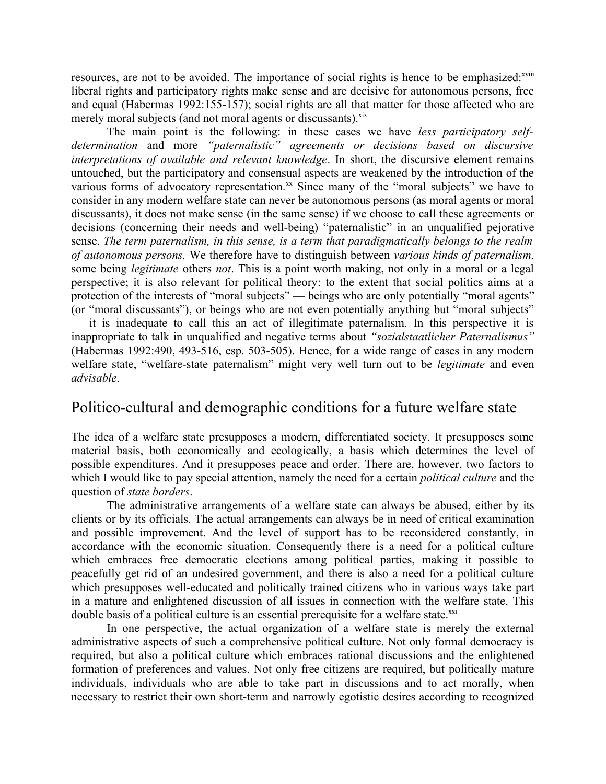resources, are not to be avoided. The importance of social rights is hence to be emphasized:<sup>[xviii](#page-17-7)</sup> liberal rights and participatory rights make sense and are decisive for autonomous persons, free and equal (Habermas 1992:155-157); social rights are all that matter for those affected who are merely moral subjects (and not moral agents or discussants).<sup>[xix](#page-17-8)</sup>

The main point is the following: in these cases we have *less participatory selfdetermination* and more *"paternalistic" agreements or decisions based on discursive interpretations of available and relevant knowledge*. In short, the discursive element remains untouched, but the participatory and consensual aspects are weakened by the introduction of the various forms of advocatory representation.<sup>[xx](#page-18-0)</sup> Since many of the "moral subjects" we have to consider in any modern welfare state can never be autonomous persons (as moral agents or moral discussants), it does not make sense (in the same sense) if we choose to call these agreements or decisions (concerning their needs and well-being) "paternalistic" in an unqualified pejorative sense. *The term paternalism, in this sense, is a term that paradigmatically belongs to the realm of autonomous persons.* We therefore have to distinguish between *various kinds of paternalism,* some being *legitimate* others *not*. This is a point worth making, not only in a moral or a legal perspective; it is also relevant for political theory: to the extent that social politics aims at a protection of the interests of "moral subjects" — beings who are only potentially "moral agents" (or "moral discussants"), or beings who are not even potentially anything but "moral subjects" — it is inadequate to call this an act of illegitimate paternalism. In this perspective it is inappropriate to talk in unqualified and negative terms about *"sozialstaatlicher Paternalismus"* (Habermas 1992:490, 493-516, esp. 503-505). Hence, for a wide range of cases in any modern welfare state, "welfare-state paternalism" might very well turn out to be *legitimate* and even *advisable*.

## Politico-cultural and demographic conditions for a future welfare state

The idea of a welfare state presupposes a modern, differentiated society. It presupposes some material basis, both economically and ecologically, a basis which determines the level of possible expenditures. And it presupposes peace and order. There are, however, two factors to which I would like to pay special attention, namely the need for a certain *political culture* and the question of *state borders*.

The administrative arrangements of a welfare state can always be abused, either by its clients or by its officials. The actual arrangements can always be in need of critical examination and possible improvement. And the level of support has to be reconsidered constantly, in accordance with the economic situation. Consequently there is a need for a political culture which embraces free democratic elections among political parties, making it possible to peacefully get rid of an undesired government, and there is also a need for a political culture which presupposes well-educated and politically trained citizens who in various ways take part in a mature and enlightened discussion of all issues in connection with the welfare state. This double basis of a political culture is an essential prerequisite for a welfare state.<sup>[xxi](#page-18-1)</sup>

In one perspective, the actual organization of a welfare state is merely the external administrative aspects of such a comprehensive political culture. Not only formal democracy is required, but also a political culture which embraces rational discussions and the enlightened formation of preferences and values. Not only free citizens are required, but politically mature individuals, individuals who are able to take part in discussions and to act morally, when necessary to restrict their own short-term and narrowly egotistic desires according to recognized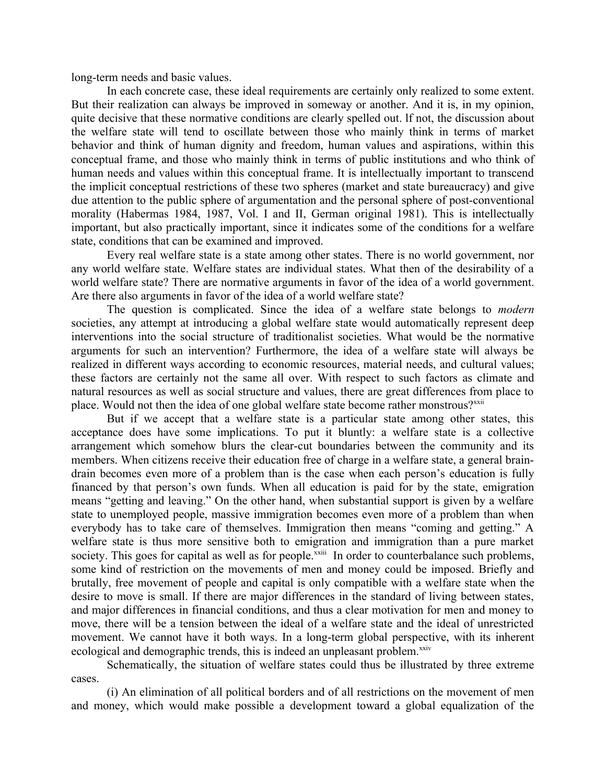long-term needs and basic values.

In each concrete case, these ideal requirements are certainly only realized to some extent. But their realization can always be improved in someway or another. And it is, in my opinion, quite decisive that these normative conditions are clearly spelled out. lf not, the discussion about the welfare state will tend to oscillate between those who mainly think in terms of market behavior and think of human dignity and freedom, human values and aspirations, within this conceptual frame, and those who mainly think in terms of public institutions and who think of human needs and values within this conceptual frame. It is intellectually important to transcend the implicit conceptual restrictions of these two spheres (market and state bureaucracy) and give due attention to the public sphere of argumentation and the personal sphere of post-conventional morality (Habermas 1984, 1987, Vol. I and II, German original 1981). This is intellectually important, but also practically important, since it indicates some of the conditions for a welfare state, conditions that can be examined and improved.

Every real welfare state is a state among other states. There is no world government, nor any world welfare state. Welfare states are individual states. What then of the desirability of a world welfare state? There are normative arguments in favor of the idea of a world government. Are there also arguments in favor of the idea of a world welfare state?

The question is complicated. Since the idea of a welfare state belongs to *modern* societies, any attempt at introducing a global welfare state would automatically represent deep interventions into the social structure of traditionalist societies. What would be the normative arguments for such an intervention? Furthermore, the idea of a welfare state will always be realized in different ways according to economic resources, material needs, and cultural values; these factors are certainly not the same all over. With respect to such factors as climate and natural resources as well as social structure and values, there are great differences from place to place. Would not then the idea of one global welfare state become rather monstrous?<sup>[xxii](#page-18-2)</sup>

But if we accept that a welfare state is a particular state among other states, this acceptance does have some implications. To put it bluntly: a welfare state is a collective arrangement which somehow blurs the clear-cut boundaries between the community and its members. When citizens receive their education free of charge in a welfare state, a general braindrain becomes even more of a problem than is the case when each person's education is fully financed by that person's own funds. When all education is paid for by the state, emigration means "getting and leaving." On the other hand, when substantial support is given by a welfare state to unemployed people, massive immigration becomes even more of a problem than when everybody has to take care of themselves. Immigration then means "coming and getting." A welfare state is thus more sensitive both to emigration and immigration than a pure market society. This goes for capital as well as for people.<sup>[xxiii](#page-18-3)</sup> In order to counterbalance such problems, some kind of restriction on the movements of men and money could be imposed. Briefly and brutally, free movement of people and capital is only compatible with a welfare state when the desire to move is small. If there are major differences in the standard of living between states, and major differences in financial conditions, and thus a clear motivation for men and money to move, there will be a tension between the ideal of a welfare state and the ideal of unrestricted movement. We cannot have it both ways. In a long-term global perspective, with its inherent ecological and demographic trends, this is indeed an unpleasant problem.<sup>[xxiv](#page-18-4)</sup>

Schematically, the situation of welfare states could thus be illustrated by three extreme cases.

(i) An elimination of all political borders and of all restrictions on the movement of men and money, which would make possible a development toward a global equalization of the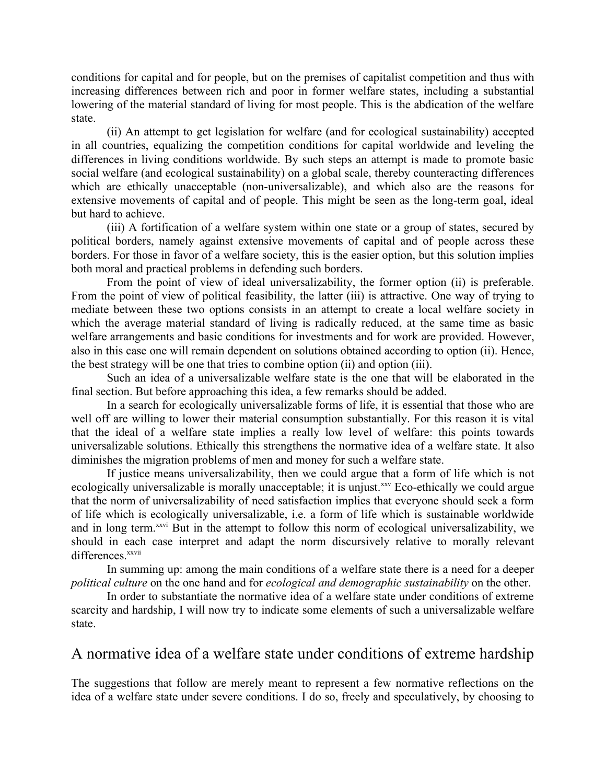conditions for capital and for people, but on the premises of capitalist competition and thus with increasing differences between rich and poor in former welfare states, including a substantial lowering of the material standard of living for most people. This is the abdication of the welfare state.

(ii) An attempt to get legislation for welfare (and for ecological sustainability) accepted in all countries, equalizing the competition conditions for capital worldwide and leveling the differences in living conditions worldwide. By such steps an attempt is made to promote basic social welfare (and ecological sustainability) on a global scale, thereby counteracting differences which are ethically unacceptable (non-universalizable), and which also are the reasons for extensive movements of capital and of people. This might be seen as the long-term goal, ideal but hard to achieve.

(iii) A fortification of a welfare system within one state or a group of states, secured by political borders, namely against extensive movements of capital and of people across these borders. For those in favor of a welfare society, this is the easier option, but this solution implies both moral and practical problems in defending such borders.

From the point of view of ideal universalizability, the former option (ii) is preferable. From the point of view of political feasibility, the latter (iii) is attractive. One way of trying to mediate between these two options consists in an attempt to create a local welfare society in which the average material standard of living is radically reduced, at the same time as basic welfare arrangements and basic conditions for investments and for work are provided. However, also in this case one will remain dependent on solutions obtained according to option (ii). Hence, the best strategy will be one that tries to combine option (ii) and option (iii).

Such an idea of a universalizable welfare state is the one that will be elaborated in the final section. But before approaching this idea, a few remarks should be added.

In a search for ecologically universalizable forms of life, it is essential that those who are well off are willing to lower their material consumption substantially. For this reason it is vital that the ideal of a welfare state implies a really low level of welfare: this points towards universalizable solutions. Ethically this strengthens the normative idea of a welfare state. It also diminishes the migration problems of men and money for such a welfare state.

If justice means universalizability, then we could argue that a form of life which is not ecologically universalizable is morally unacceptable; it is unjust.<sup>[xxv](#page-18-5)</sup> Eco-ethically we could argue that the norm of universalizability of need satisfaction implies that everyone should seek a form of life which is ecologically universalizable, i.e. a form of life which is sustainable worldwide and in long term.<sup>[xxvi](#page-18-6)</sup> But in the attempt to follow this norm of ecological universalizability, we should in each case interpret and adapt the norm discursively relative to morally relevant differences.<sup>[xxvii](#page-18-7)</sup>

In summing up: among the main conditions of a welfare state there is a need for a deeper *political culture* on the one hand and for *ecological and demographic sustainability* on the other.

In order to substantiate the normative idea of a welfare state under conditions of extreme scarcity and hardship, I will now try to indicate some elements of such a universalizable welfare state.

### A normative idea of a welfare state under conditions of extreme hardship

The suggestions that follow are merely meant to represent a few normative reflections on the idea of a welfare state under severe conditions. I do so, freely and speculatively, by choosing to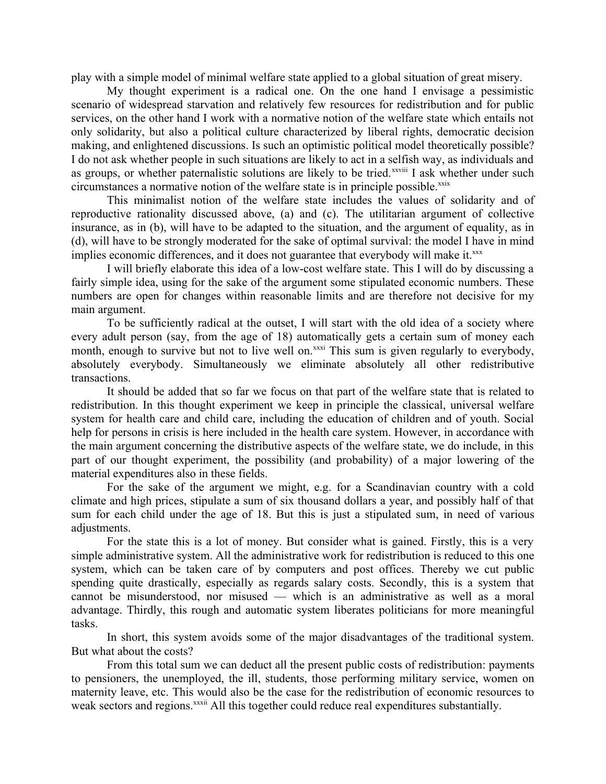play with a simple model of minimal welfare state applied to a global situation of great misery.

My thought experiment is a radical one. On the one hand I envisage a pessimistic scenario of widespread starvation and relatively few resources for redistribution and for public services, on the other hand I work with a normative notion of the welfare state which entails not only solidarity, but also a political culture characterized by liberal rights, democratic decision making, and enlightened discussions. Is such an optimistic political model theoretically possible? I do not ask whether people in such situations are likely to act in a selfish way, as individuals and as groups, or whether paternalistic solutions are likely to be tried.<sup>[xxviii](#page-19-0)</sup> I ask whether under such circumstances a normative notion of the welfare state is in principle possible.<sup>[xxix](#page-19-1)</sup>

This minimalist notion of the welfare state includes the values of solidarity and of reproductive rationality discussed above, (a) and (c). The utilitarian argument of collective insurance, as in (b), will have to be adapted to the situation, and the argument of equality, as in (d), will have to be strongly moderated for the sake of optimal survival: the model I have in mind implies economic differences, and it does not guarantee that everybody will make it.[xxx](#page-19-2)

I will briefly elaborate this idea of a low-cost welfare state. This I will do by discussing a fairly simple idea, using for the sake of the argument some stipulated economic numbers. These numbers are open for changes within reasonable limits and are therefore not decisive for my main argument.

To be sufficiently radical at the outset, I will start with the old idea of a society where every adult person (say, from the age of 18) automatically gets a certain sum of money each month, enough to survive but not to live well on.<sup>[xxxi](#page-19-3)</sup> This sum is given regularly to everybody, absolutely everybody. Simultaneously we eliminate absolutely all other redistributive transactions.

It should be added that so far we focus on that part of the welfare state that is related to redistribution. In this thought experiment we keep in principle the classical, universal welfare system for health care and child care, including the education of children and of youth. Social help for persons in crisis is here included in the health care system. However, in accordance with the main argument concerning the distributive aspects of the welfare state, we do include, in this part of our thought experiment, the possibility (and probability) of a major lowering of the material expenditures also in these fields.

For the sake of the argument we might, e.g. for a Scandinavian country with a cold climate and high prices, stipulate a sum of six thousand dollars a year, and possibly half of that sum for each child under the age of 18. But this is just a stipulated sum, in need of various adjustments.

For the state this is a lot of money. But consider what is gained. Firstly, this is a very simple administrative system. All the administrative work for redistribution is reduced to this one system, which can be taken care of by computers and post offices. Thereby we cut public spending quite drastically, especially as regards salary costs. Secondly, this is a system that cannot be misunderstood, nor misused — which is an administrative as well as a moral advantage. Thirdly, this rough and automatic system liberates politicians for more meaningful tasks.

In short, this system avoids some of the major disadvantages of the traditional system. But what about the costs?

From this total sum we can deduct all the present public costs of redistribution: payments to pensioners, the unemployed, the ill, students, those performing military service, women on maternity leave, etc. This would also be the case for the redistribution of economic resources to weak sectors and regions.<sup>[xxxii](#page-19-4)</sup> All this together could reduce real expenditures substantially.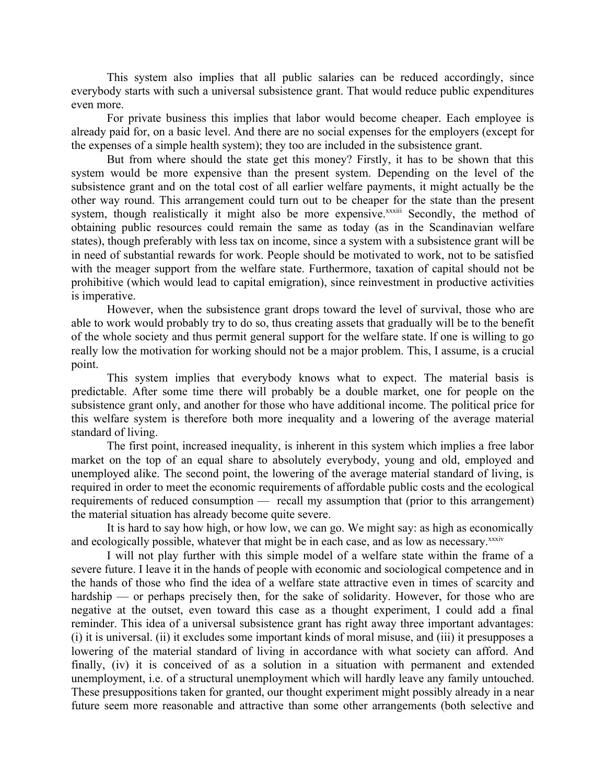This system also implies that all public salaries can be reduced accordingly, since everybody starts with such a universal subsistence grant. That would reduce public expenditures even more.

For private business this implies that labor would become cheaper. Each employee is already paid for, on a basic level. And there are no social expenses for the employers (except for the expenses of a simple health system); they too are included in the subsistence grant.

But from where should the state get this money? Firstly, it has to be shown that this system would be more expensive than the present system. Depending on the level of the subsistence grant and on the total cost of all earlier welfare payments, it might actually be the other way round. This arrangement could turn out to be cheaper for the state than the present system, though realistically it might also be more expensive.<sup>[xxxiii](#page-19-5)</sup> Secondly, the method of obtaining public resources could remain the same as today (as in the Scandinavian welfare states), though preferably with less tax on income, since a system with a subsistence grant will be in need of substantial rewards for work. People should be motivated to work, not to be satisfied with the meager support from the welfare state. Furthermore, taxation of capital should not be prohibitive (which would lead to capital emigration), since reinvestment in productive activities is imperative.

However, when the subsistence grant drops toward the level of survival, those who are able to work would probably try to do so, thus creating assets that gradually will be to the benefit of the whole society and thus permit general support for the welfare state. lf one is willing to go really low the motivation for working should not be a major problem. This, I assume, is a crucial point.

This system implies that everybody knows what to expect. The material basis is predictable. After some time there will probably be a double market, one for people on the subsistence grant only, and another for those who have additional income. The political price for this welfare system is therefore both more inequality and a lowering of the average material standard of living.

The first point, increased inequality, is inherent in this system which implies a free labor market on the top of an equal share to absolutely everybody, young and old, employed and unemployed alike. The second point, the lowering of the average material standard of living, is required in order to meet the economic requirements of affordable public costs and the ecological requirements of reduced consumption — recall my assumption that (prior to this arrangement) the material situation has already become quite severe.

It is hard to say how high, or how low, we can go. We might say: as high as economically and ecologically possible, whatever that might be in each case, and as low as necessary.<sup>[xxxiv](#page-19-6)</sup>

I will not play further with this simple model of a welfare state within the frame of a severe future. I leave it in the hands of people with economic and sociological competence and in the hands of those who find the idea of a welfare state attractive even in times of scarcity and hardship — or perhaps precisely then, for the sake of solidarity. However, for those who are negative at the outset, even toward this case as a thought experiment, I could add a final reminder. This idea of a universal subsistence grant has right away three important advantages: (i) it is universal. (ii) it excludes some important kinds of moral misuse, and (iii) it presupposes a lowering of the material standard of living in accordance with what society can afford. And finally, (iv) it is conceived of as a solution in a situation with permanent and extended unemployment, i.e. of a structural unemployment which will hardly leave any family untouched. These presuppositions taken for granted, our thought experiment might possibly already in a near future seem more reasonable and attractive than some other arrangements (both selective and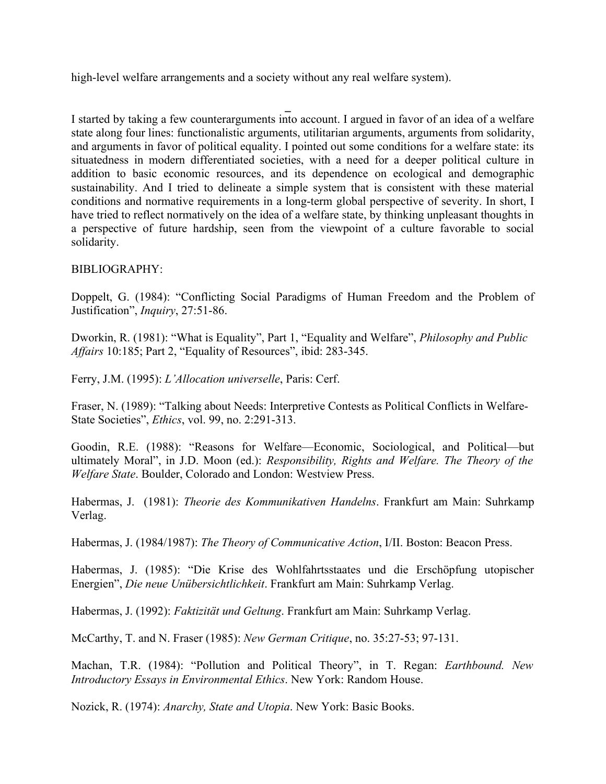high-level welfare arrangements and a society without any real welfare system).

 $\mathcal{L}(\mathcal{L})$ I started by taking a few counterarguments into account. I argued in favor of an idea of a welfare state along four lines: functionalistic arguments, utilitarian arguments, arguments from solidarity, and arguments in favor of political equality. I pointed out some conditions for a welfare state: its situatedness in modern differentiated societies, with a need for a deeper political culture in addition to basic economic resources, and its dependence on ecological and demographic sustainability. And I tried to delineate a simple system that is consistent with these material conditions and normative requirements in a long-term global perspective of severity. In short, I have tried to reflect normatively on the idea of a welfare state, by thinking unpleasant thoughts in a perspective of future hardship, seen from the viewpoint of a culture favorable to social solidarity.

#### BIBLIOGRAPHY:

Doppelt, G. (1984): "Conflicting Social Paradigms of Human Freedom and the Problem of Justification", *Inquiry*, 27:51-86.

Dworkin, R. (1981): "What is Equality", Part 1, "Equality and Welfare", *Philosophy and Public Affairs* 10:185; Part 2, "Equality of Resources", ibid: 283-345.

Ferry, J.M. (1995): *L'Allocation universelle*, Paris: Cerf.

Fraser, N. (1989): "Talking about Needs: Interpretive Contests as Political Conflicts in Welfare-State Societies", *Ethics*, vol. 99, no. 2:291-313.

Goodin, R.E. (1988): "Reasons for Welfare—Economic, Sociological, and Political—but ultimately Moral", in J.D. Moon (ed.): *Responsibility, Rights and Welfare. The Theory of the Welfare State*. Boulder, Colorado and London: Westview Press.

Habermas, J. (1981): *Theorie des Kommunikativen Handelns*. Frankfurt am Main: Suhrkamp Verlag.

Habermas, J. (1984/1987): *The Theory of Communicative Action*, I/II. Boston: Beacon Press.

Habermas, J. (1985): "Die Krise des Wohlfahrtsstaates und die Erschöpfung utopischer Energien", *Die neue Unübersichtlichkeit*. Frankfurt am Main: Suhrkamp Verlag.

Habermas, J. (1992): *Faktizität und Geltung*. Frankfurt am Main: Suhrkamp Verlag.

McCarthy, T. and N. Fraser (1985): *New German Critique*, no. 35:27-53; 97-131.

Machan, T.R. (1984): "Pollution and Political Theory", in T. Regan: *Earthbound. New Introductory Essays in Environmental Ethics*. New York: Random House.

Nozick, R. (1974): *Anarchy, State and Utopia*. New York: Basic Books.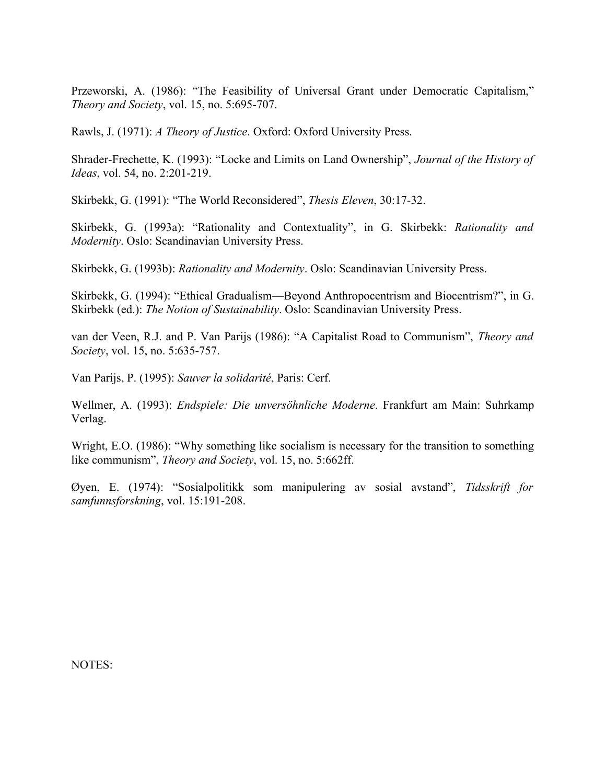Przeworski, A. (1986): "The Feasibility of Universal Grant under Democratic Capitalism," *Theory and Society*, vol. 15, no. 5:695-707.

Rawls, J. (1971): *A Theory of Justice*. Oxford: Oxford University Press.

Shrader-Frechette, K. (1993): "Locke and Limits on Land Ownership", *Journal of the History of Ideas*, vol. 54, no. 2:201-219.

Skirbekk, G. (1991): "The World Reconsidered", *Thesis Eleven*, 30:17-32.

Skirbekk, G. (1993a): "Rationality and Contextuality", in G. Skirbekk: *Rationality and Modernity*. Oslo: Scandinavian University Press.

Skirbekk, G. (1993b): *Rationality and Modernity*. Oslo: Scandinavian University Press.

Skirbekk, G. (1994): "Ethical Gradualism—Beyond Anthropocentrism and Biocentrism?", in G. Skirbekk (ed.): *The Notion of Sustainability*. Oslo: Scandinavian University Press.

van der Veen, R.J. and P. Van Parijs (1986): "A Capitalist Road to Communism", *Theory and Society*, vol. 15, no. 5:635-757.

Van Parijs, P. (1995): *Sauver la solidarité*, Paris: Cerf.

Wellmer, A. (1993): *Endspiele: Die unversöhnliche Moderne*. Frankfurt am Main: Suhrkamp Verlag.

Wright, E.O. (1986): "Why something like socialism is necessary for the transition to something like communism", *Theory and Society*, vol. 15, no. 5:662ff.

Øyen, E. (1974): "Sosialpolitikk som manipulering av sosial avstand", *Tidsskrift for samfunnsforskning*, vol. 15:191-208.

NOTES: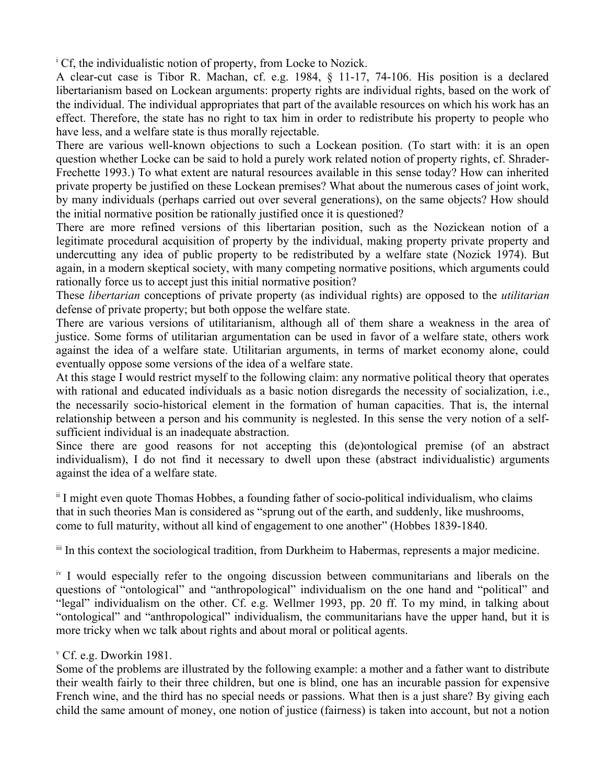<span id="page-15-0"></span><sup>i</sup> Cf, the individualistic notion of property, from Locke to Nozick.

A clear-cut case is Tibor R. Machan, cf. e.g. 1984, § 11-17, 74-106. His position is a declared libertarianism based on Lockean arguments: property rights are individual rights, based on the work of the individual. The individual appropriates that part of the available resources on which his work has an effect. Therefore, the state has no right to tax him in order to redistribute his property to people who have less, and a welfare state is thus morally rejectable.

There are various well-known objections to such a Lockean position. (To start with: it is an open question whether Locke can be said to hold a purely work related notion of property rights, cf. Shrader-Frechette 1993.) To what extent are natural resources available in this sense today? How can inherited private property be justified on these Lockean premises? What about the numerous cases of joint work, by many individuals (perhaps carried out over several generations), on the same objects? How should the initial normative position be rationally justified once it is questioned?

There are more refined versions of this libertarian position, such as the Nozickean notion of a legitimate procedural acquisition of property by the individual, making property private property and undercutting any idea of public property to be redistributed by a welfare state (Nozick 1974). But again, in a modern skeptical society, with many competing normative positions, which arguments could rationally force us to accept just this initial normative position?

These *libertarian* conceptions of private property (as individual rights) are opposed to the *utilitarian* defense of private property; but both oppose the welfare state.

There are various versions of utilitarianism, although all of them share a weakness in the area of justice. Some forms of utilitarian argumentation can be used in favor of a welfare state, others work against the idea of a welfare state. Utilitarian arguments, in terms of market economy alone, could eventually oppose some versions of the idea of a welfare state.

At this stage I would restrict myself to the following claim: any normative political theory that operates with rational and educated individuals as a basic notion disregards the necessity of socialization, i.e., the necessarily socio-historical element in the formation of human capacities. That is, the internal relationship between a person and his community is neglested. In this sense the very notion of a selfsufficient individual is an inadequate abstraction.

Since there are good reasons for not accepting this (de)ontological premise (of an abstract individualism), I do not find it necessary to dwell upon these (abstract individualistic) arguments against the idea of a welfare state.

<span id="page-15-1"></span>ii I might even quote Thomas Hobbes, a founding father of socio-political individualism, who claims that in such theories Man is considered as "sprung out of the earth, and suddenly, like mushrooms, come to full maturity, without all kind of engagement to one another" (Hobbes 1839-1840.

<span id="page-15-2"></span>iii In this context the sociological tradition, from Durkheim to Habermas, represents a major medicine.

<span id="page-15-3"></span><sup>iv</sup> I would especially refer to the ongoing discussion between communitarians and liberals on the questions of "ontological" and "anthropological" individualism on the one hand and "political" and "legal" individualism on the other. Cf. e.g. Wellmer 1993, pp. 20 ff. To my mind, in talking about "ontological" and "anthropological" individualism, the communitarians have the upper hand, but it is more tricky when wc talk about rights and about moral or political agents.

#### <span id="page-15-4"></span> $v$  Cf. e.g. Dworkin 1981.

Some of the problems are illustrated by the following example: a mother and a father want to distribute their wealth fairly to their three children, but one is blind, one has an incurable passion for expensive French wine, and the third has no special needs or passions. What then is a just share? By giving each child the same amount of money, one notion of justice (fairness) is taken into account, but not a notion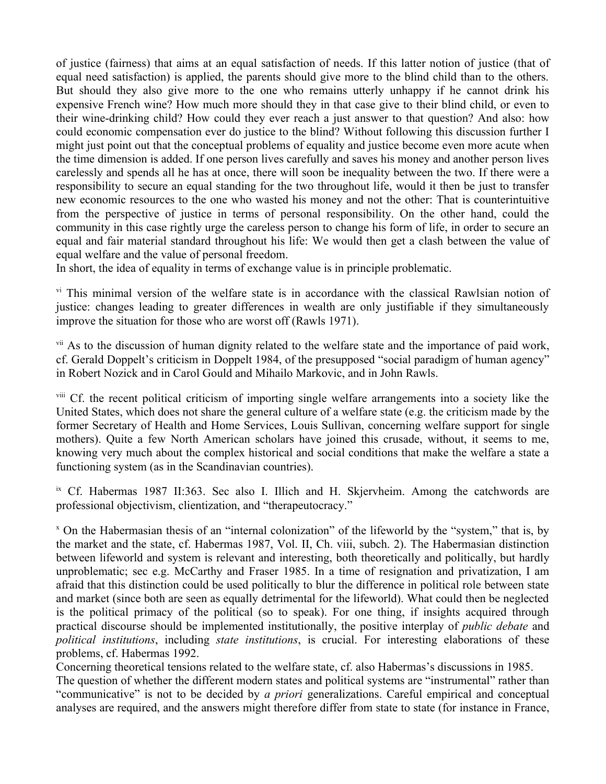of justice (fairness) that aims at an equal satisfaction of needs. If this latter notion of justice (that of equal need satisfaction) is applied, the parents should give more to the blind child than to the others. But should they also give more to the one who remains utterly unhappy if he cannot drink his expensive French wine? How much more should they in that case give to their blind child, or even to their wine-drinking child? How could they ever reach a just answer to that question? And also: how could economic compensation ever do justice to the blind? Without following this discussion further I might just point out that the conceptual problems of equality and justice become even more acute when the time dimension is added. If one person lives carefully and saves his money and another person lives carelessly and spends all he has at once, there will soon be inequality between the two. If there were a responsibility to secure an equal standing for the two throughout life, would it then be just to transfer new economic resources to the one who wasted his money and not the other: That is counterintuitive from the perspective of justice in terms of personal responsibility. On the other hand, could the community in this case rightly urge the careless person to change his form of life, in order to secure an equal and fair material standard throughout his life: We would then get a clash between the value of equal welfare and the value of personal freedom.

In short, the idea of equality in terms of exchange value is in principle problematic.

<span id="page-16-0"></span><sup>vi</sup> This minimal version of the welfare state is in accordance with the classical Rawlsian notion of justice: changes leading to greater differences in wealth are only justifiable if they simultaneously improve the situation for those who are worst off (Rawls 1971).

<span id="page-16-1"></span><sup>vii</sup> As to the discussion of human dignity related to the welfare state and the importance of paid work, cf. Gerald Doppelt's criticism in Doppelt 1984, of the presupposed "social paradigm of human agency" in Robert Nozick and in Carol Gould and Mihailo Markovic, and in John Rawls.

<span id="page-16-2"></span>viii Cf. the recent political criticism of importing single welfare arrangements into a society like the United States, which does not share the general culture of a welfare state (e.g. the criticism made by the former Secretary of Health and Home Services, Louis Sullivan, concerning welfare support for single mothers). Quite a few North American scholars have joined this crusade, without, it seems to me, knowing very much about the complex historical and social conditions that make the welfare a state a functioning system (as in the Scandinavian countries).

<span id="page-16-3"></span> $\frac{1}{x}$  Cf. Habermas 1987 II:363. Sec also I. Illich and H. Skjervheim. Among the catchwords are professional objectivism, clientization, and "therapeutocracy."

<span id="page-16-4"></span><sup>x</sup> On the Habermasian thesis of an "internal colonization" of the lifeworld by the "system," that is, by the market and the state, cf. Habermas 1987, Vol. II, Ch. viii, subch. 2). The Habermasian distinction between lifeworld and system is relevant and interesting, both theoretically and politically, but hardly unproblematic; sec e.g. McCarthy and Fraser 1985. In a time of resignation and privatization, I am afraid that this distinction could be used politically to blur the difference in political role between state and market (since both are seen as equally detrimental for the lifeworld). What could then be neglected is the political primacy of the political (so to speak). For one thing, if insights acquired through practical discourse should be implemented institutionally, the positive interplay of *public debate* and *political institutions*, including *state institutions*, is crucial. For interesting elaborations of these problems, cf. Habermas 1992.

Concerning theoretical tensions related to the welfare state, cf. also Habermas's discussions in 1985. The question of whether the different modern states and political systems are "instrumental" rather than "communicative" is not to be decided by *a priori* generalizations. Careful empirical and conceptual analyses are required, and the answers might therefore differ from state to state (for instance in France,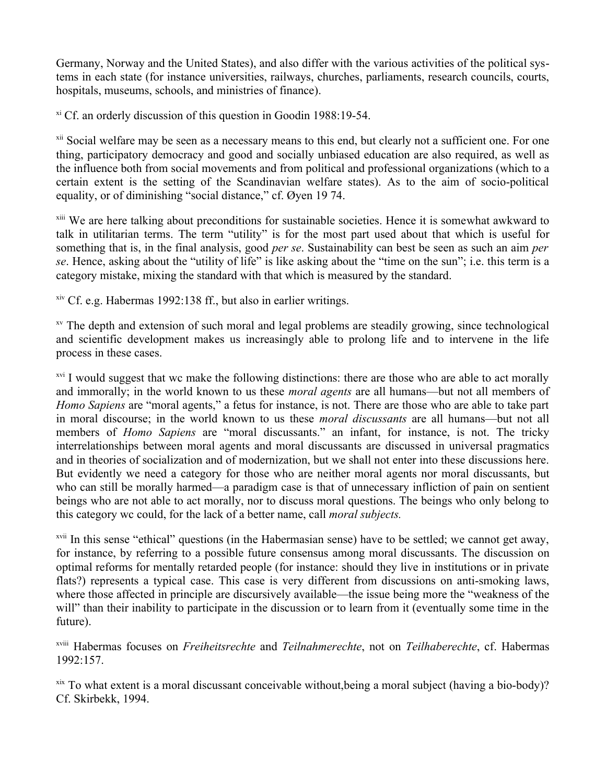Germany, Norway and the United States), and also differ with the various activities of the political systems in each state (for instance universities, railways, churches, parliaments, research councils, courts, hospitals, museums, schools, and ministries of finance).

<span id="page-17-0"></span>xi Cf. an orderly discussion of this question in Goodin 1988:19-54.

<span id="page-17-1"></span><sup>xii</sup> Social welfare may be seen as a necessary means to this end, but clearly not a sufficient one. For one thing, participatory democracy and good and socially unbiased education are also required, as well as the influence both from social movements and from political and professional organizations (which to a certain extent is the setting of the Scandinavian welfare states). As to the aim of socio-political equality, or of diminishing "social distance," cf. Øyen 19 74.

<span id="page-17-2"></span><sup>xiii</sup> We are here talking about preconditions for sustainable societies. Hence it is somewhat awkward to talk in utilitarian terms. The term "utility" is for the most part used about that which is useful for something that is, in the final analysis, good *per se*. Sustainability can best be seen as such an aim *per se*. Hence, asking about the "utility of life" is like asking about the "time on the sun"; i.e. this term is a category mistake, mixing the standard with that which is measured by the standard.

<span id="page-17-3"></span>xiv Cf. e.g. Habermas 1992:138 ff., but also in earlier writings.

<span id="page-17-4"></span><sup>xv</sup> The depth and extension of such moral and legal problems are steadily growing, since technological and scientific development makes us increasingly able to prolong life and to intervene in the life process in these cases.

<span id="page-17-5"></span><sup>xvi</sup> I would suggest that wc make the following distinctions: there are those who are able to act morally and immorally; in the world known to us these *moral agents* are all humans—but not all members of *Homo Sapiens* are "moral agents," a fetus for instance, is not. There are those who are able to take part in moral discourse; in the world known to us these *moral discussants* are all humans—but not all members of *Homo Sapiens* are "moral discussants." an infant, for instance, is not. The tricky interrelationships between moral agents and moral discussants are discussed in universal pragmatics and in theories of socialization and of modernization, but we shall not enter into these discussions here. But evidently we need a category for those who are neither moral agents nor moral discussants, but who can still be morally harmed—a paradigm case is that of unnecessary infliction of pain on sentient beings who are not able to act morally, nor to discuss moral questions. The beings who only belong to this category wc could, for the lack of a better name, call *moral subjects.*

<span id="page-17-6"></span><sup>xvii</sup> In this sense "ethical" questions (in the Habermasian sense) have to be settled; we cannot get away, for instance, by referring to a possible future consensus among moral discussants. The discussion on optimal reforms for mentally retarded people (for instance: should they live in institutions or in private flats?) represents a typical case. This case is very different from discussions on anti-smoking laws, where those affected in principle are discursively available—the issue being more the "weakness of the will" than their inability to participate in the discussion or to learn from it (eventually some time in the future).

<span id="page-17-7"></span>xviii Habermas focuses on *Freiheitsrechte* and *Teilnahmerechte*, not on *Teilhaberechte*, cf. Habermas 1992:157.

<span id="page-17-8"></span> $x$ <sup>ix</sup> To what extent is a moral discussant conceivable without, being a moral subject (having a bio-body)? Cf. Skirbekk, 1994.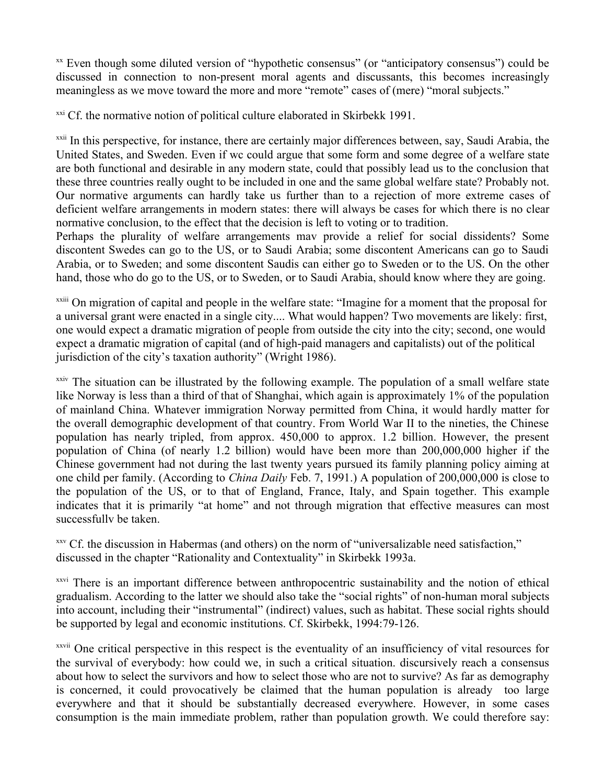<span id="page-18-0"></span>xx Even though some diluted version of "hypothetic consensus" (or "anticipatory consensus") could be discussed in connection to non-present moral agents and discussants, this becomes increasingly meaningless as we move toward the more and more "remote" cases of (mere) "moral subjects."

<span id="page-18-1"></span><sup>xxi</sup> Cf. the normative notion of political culture elaborated in Skirbekk 1991.

<span id="page-18-2"></span><sup>xxii</sup> In this perspective, for instance, there are certainly major differences between, say, Saudi Arabia, the United States, and Sweden. Even if wc could argue that some form and some degree of a welfare state are both functional and desirable in any modern state, could that possibly lead us to the conclusion that these three countries really ought to be included in one and the same global welfare state? Probably not. Our normative arguments can hardly take us further than to a rejection of more extreme cases of deficient welfare arrangements in modern states: there will always be cases for which there is no clear normative conclusion, to the effect that the decision is left to voting or to tradition.

Perhaps the plurality of welfare arrangements mav provide a relief for social dissidents? Some discontent Swedes can go to the US, or to Saudi Arabia; some discontent Americans can go to Saudi Arabia, or to Sweden; and some discontent Saudis can either go to Sweden or to the US. On the other hand, those who do go to the US, or to Sweden, or to Saudi Arabia, should know where they are going.

<span id="page-18-3"></span><sup>xxiii</sup> On migration of capital and people in the welfare state: "Imagine for a moment that the proposal for a universal grant were enacted in a single city.... What would happen? Two movements are likely: first, one would expect a dramatic migration of people from outside the city into the city; second, one would expect a dramatic migration of capital (and of high-paid managers and capitalists) out of the political jurisdiction of the city's taxation authority" (Wright 1986).

<span id="page-18-4"></span><sup>xxiv</sup> The situation can be illustrated by the following example. The population of a small welfare state like Norway is less than a third of that of Shanghai, which again is approximately 1% of the population of mainland China. Whatever immigration Norway permitted from China, it would hardly matter for the overall demographic development of that country. From World War II to the nineties, the Chinese population has nearly tripled, from approx. 450,000 to approx. 1.2 billion. However, the present population of China (of nearly 1.2 billion) would have been more than 200,000,000 higher if the Chinese government had not during the last twenty years pursued its family planning policy aiming at one child per family. (According to *China Daily* Feb. 7, 1991.) A population of 200,000,000 is close to the population of the US, or to that of England, France, Italy, and Spain together. This example indicates that it is primarily "at home" and not through migration that effective measures can most successfullv be taken.

<span id="page-18-5"></span>xxv Cf. the discussion in Habermas (and others) on the norm of "universalizable need satisfaction," discussed in the chapter "Rationality and Contextuality" in Skirbekk 1993a.

<span id="page-18-6"></span>xxvi There is an important difference between anthropocentric sustainability and the notion of ethical gradualism. According to the latter we should also take the "social rights" of non-human moral subjects into account, including their "instrumental" (indirect) values, such as habitat. These social rights should be supported by legal and economic institutions. Cf. Skirbekk, 1994:79-126.

<span id="page-18-7"></span>xxvii One critical perspective in this respect is the eventuality of an insufficiency of vital resources for the survival of everybody: how could we, in such a critical situation. discursively reach a consensus about how to select the survivors and how to select those who are not to survive? As far as demography is concerned, it could provocatively be claimed that the human population is already too large everywhere and that it should be substantially decreased everywhere. However, in some cases consumption is the main immediate problem, rather than population growth. We could therefore say: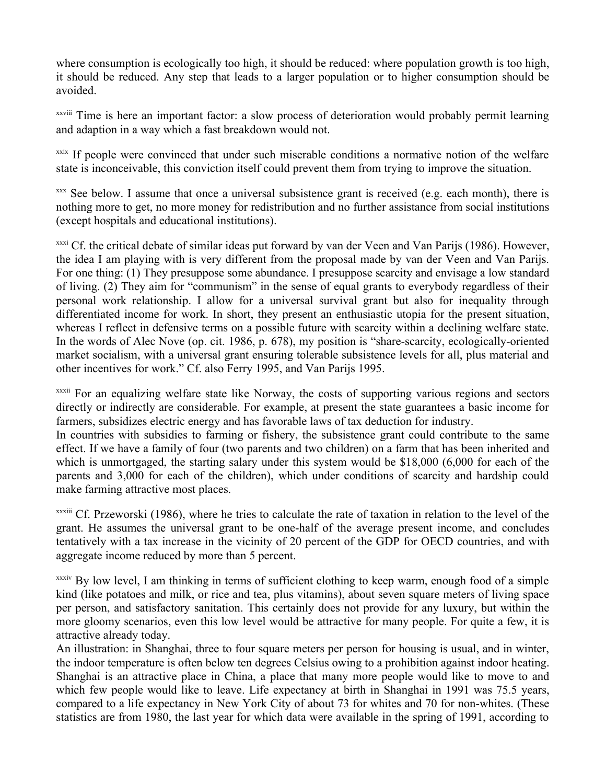where consumption is ecologically too high, it should be reduced: where population growth is too high, it should be reduced. Any step that leads to a larger population or to higher consumption should be avoided.

<span id="page-19-0"></span>xxviii Time is here an important factor: a slow process of deterioration would probably permit learning and adaption in a way which a fast breakdown would not.

<span id="page-19-1"></span>xxix If people were convinced that under such miserable conditions a normative notion of the welfare state is inconceivable, this conviction itself could prevent them from trying to improve the situation.

<span id="page-19-2"></span>xxx See below. I assume that once a universal subsistence grant is received (e.g. each month), there is nothing more to get, no more money for redistribution and no further assistance from social institutions (except hospitals and educational institutions).

<span id="page-19-3"></span><sup>xxxi</sup> Cf. the critical debate of similar ideas put forward by van der Veen and Van Parijs (1986). However, the idea I am playing with is very different from the proposal made by van der Veen and Van Parijs. For one thing: (1) They presuppose some abundance. I presuppose scarcity and envisage a low standard of living. (2) They aim for "communism" in the sense of equal grants to everybody regardless of their personal work relationship. I allow for a universal survival grant but also for inequality through differentiated income for work. In short, they present an enthusiastic utopia for the present situation, whereas I reflect in defensive terms on a possible future with scarcity within a declining welfare state. In the words of Alec Nove (op. cit. 1986, p. 678), my position is "share-scarcity, ecologically-oriented market socialism, with a universal grant ensuring tolerable subsistence levels for all, plus material and other incentives for work." Cf. also Ferry 1995, and Van Parijs 1995.

<span id="page-19-4"></span>xxxii For an equalizing welfare state like Norway, the costs of supporting various regions and sectors directly or indirectly are considerable. For example, at present the state guarantees a basic income for farmers, subsidizes electric energy and has favorable laws of tax deduction for industry.

In countries with subsidies to farming or fishery, the subsistence grant could contribute to the same effect. If we have a family of four (two parents and two children) on a farm that has been inherited and which is unmortgaged, the starting salary under this system would be \$18,000 (6,000 for each of the parents and 3,000 for each of the children), which under conditions of scarcity and hardship could make farming attractive most places.

<span id="page-19-5"></span>xxxiii Cf. Przeworski (1986), where he tries to calculate the rate of taxation in relation to the level of the grant. He assumes the universal grant to be one-half of the average present income, and concludes tentatively with a tax increase in the vicinity of 20 percent of the GDP for OECD countries, and with aggregate income reduced by more than 5 percent.

<span id="page-19-6"></span>xxxiv By low level, I am thinking in terms of sufficient clothing to keep warm, enough food of a simple kind (like potatoes and milk, or rice and tea, plus vitamins), about seven square meters of living space per person, and satisfactory sanitation. This certainly does not provide for any luxury, but within the more gloomy scenarios, even this low level would be attractive for many people. For quite a few, it is attractive already today.

An illustration: in Shanghai, three to four square meters per person for housing is usual, and in winter, the indoor temperature is often below ten degrees Celsius owing to a prohibition against indoor heating. Shanghai is an attractive place in China, a place that many more people would like to move to and which few people would like to leave. Life expectancy at birth in Shanghai in 1991 was 75.5 years, compared to a life expectancy in New York City of about 73 for whites and 70 for non-whites. (These statistics are from 1980, the last year for which data were available in the spring of 1991, according to